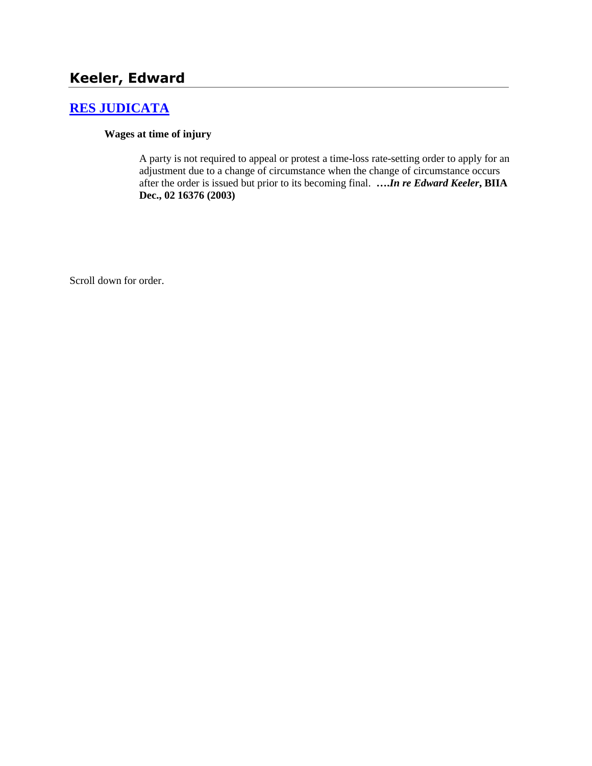# **Keeler, Edward**

# **[RES JUDICATA](http://www.biia.wa.gov/SDSubjectIndex.html#RES_JUDICATA)**

#### **Wages at time of injury**

A party is not required to appeal or protest a time-loss rate-setting order to apply for an adjustment due to a change of circumstance when the change of circumstance occurs after the order is issued but prior to its becoming final. **….***In re Edward Keeler***, BIIA Dec., 02 16376 (2003)** 

Scroll down for order.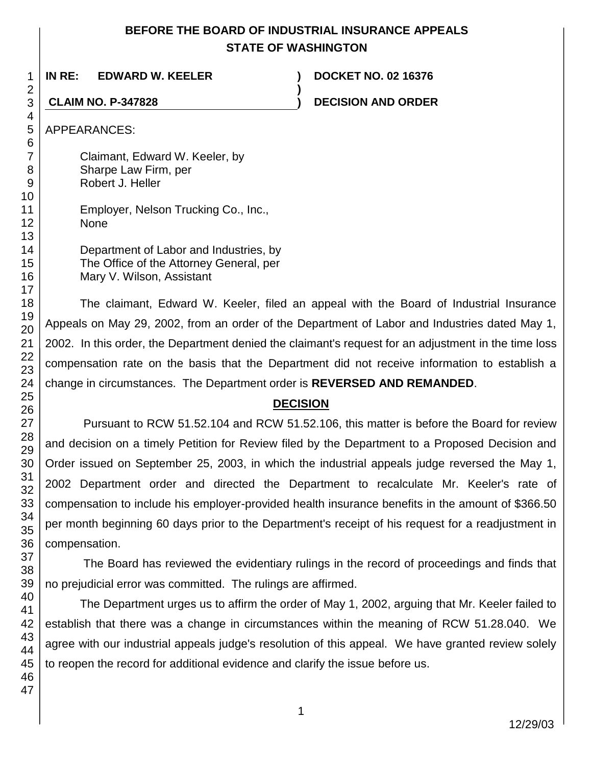# **BEFORE THE BOARD OF INDUSTRIAL INSURANCE APPEALS STATE OF WASHINGTON**

**)**

**IN RE: EDWARD W. KEELER ) DOCKET NO. 02 16376**

**CLAIM NO. P-347828 ) DECISION AND ORDER**

APPEARANCES:

Claimant, Edward W. Keeler, by Sharpe Law Firm, per Robert J. Heller

Employer, Nelson Trucking Co., Inc., None

Department of Labor and Industries, by The Office of the Attorney General, per Mary V. Wilson, Assistant

The claimant, Edward W. Keeler, filed an appeal with the Board of Industrial Insurance Appeals on May 29, 2002, from an order of the Department of Labor and Industries dated May 1, 2002. In this order, the Department denied the claimant's request for an adjustment in the time loss compensation rate on the basis that the Department did not receive information to establish a change in circumstances. The Department order is **REVERSED AND REMANDED**.

# **DECISION**

Pursuant to RCW 51.52.104 and RCW 51.52.106, this matter is before the Board for review and decision on a timely Petition for Review filed by the Department to a Proposed Decision and Order issued on September 25, 2003, in which the industrial appeals judge reversed the May 1, 2002 Department order and directed the Department to recalculate Mr. Keeler's rate of compensation to include his employer-provided health insurance benefits in the amount of \$366.50 per month beginning 60 days prior to the Department's receipt of his request for a readjustment in compensation.

The Board has reviewed the evidentiary rulings in the record of proceedings and finds that no prejudicial error was committed. The rulings are affirmed.

The Department urges us to affirm the order of May 1, 2002, arguing that Mr. Keeler failed to establish that there was a change in circumstances within the meaning of RCW 51.28.040. We agree with our industrial appeals judge's resolution of this appeal. We have granted review solely to reopen the record for additional evidence and clarify the issue before us.

1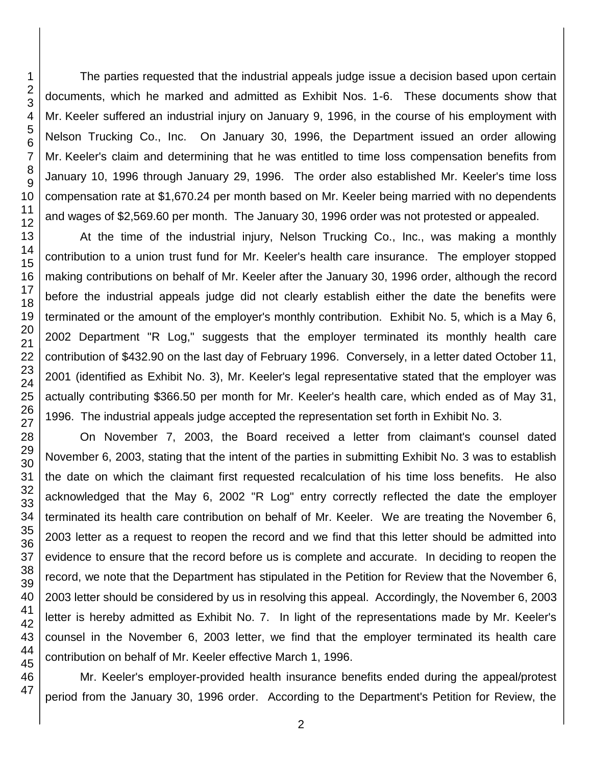The parties requested that the industrial appeals judge issue a decision based upon certain documents, which he marked and admitted as Exhibit Nos. 1-6. These documents show that Mr. Keeler suffered an industrial injury on January 9, 1996, in the course of his employment with Nelson Trucking Co., Inc. On January 30, 1996, the Department issued an order allowing Mr. Keeler's claim and determining that he was entitled to time loss compensation benefits from January 10, 1996 through January 29, 1996. The order also established Mr. Keeler's time loss compensation rate at \$1,670.24 per month based on Mr. Keeler being married with no dependents and wages of \$2,569.60 per month. The January 30, 1996 order was not protested or appealed.

At the time of the industrial injury, Nelson Trucking Co., Inc., was making a monthly contribution to a union trust fund for Mr. Keeler's health care insurance. The employer stopped making contributions on behalf of Mr. Keeler after the January 30, 1996 order, although the record before the industrial appeals judge did not clearly establish either the date the benefits were terminated or the amount of the employer's monthly contribution. Exhibit No. 5, which is a May 6, 2002 Department "R Log," suggests that the employer terminated its monthly health care contribution of \$432.90 on the last day of February 1996. Conversely, in a letter dated October 11, 2001 (identified as Exhibit No. 3), Mr. Keeler's legal representative stated that the employer was actually contributing \$366.50 per month for Mr. Keeler's health care, which ended as of May 31, 1996. The industrial appeals judge accepted the representation set forth in Exhibit No. 3.

On November 7, 2003, the Board received a letter from claimant's counsel dated November 6, 2003, stating that the intent of the parties in submitting Exhibit No. 3 was to establish the date on which the claimant first requested recalculation of his time loss benefits. He also acknowledged that the May 6, 2002 "R Log" entry correctly reflected the date the employer terminated its health care contribution on behalf of Mr. Keeler. We are treating the November 6, 2003 letter as a request to reopen the record and we find that this letter should be admitted into evidence to ensure that the record before us is complete and accurate. In deciding to reopen the record, we note that the Department has stipulated in the Petition for Review that the November 6, 2003 letter should be considered by us in resolving this appeal. Accordingly, the November 6, 2003 letter is hereby admitted as Exhibit No. 7. In light of the representations made by Mr. Keeler's counsel in the November 6, 2003 letter, we find that the employer terminated its health care contribution on behalf of Mr. Keeler effective March 1, 1996.

Mr. Keeler's employer-provided health insurance benefits ended during the appeal/protest period from the January 30, 1996 order. According to the Department's Petition for Review, the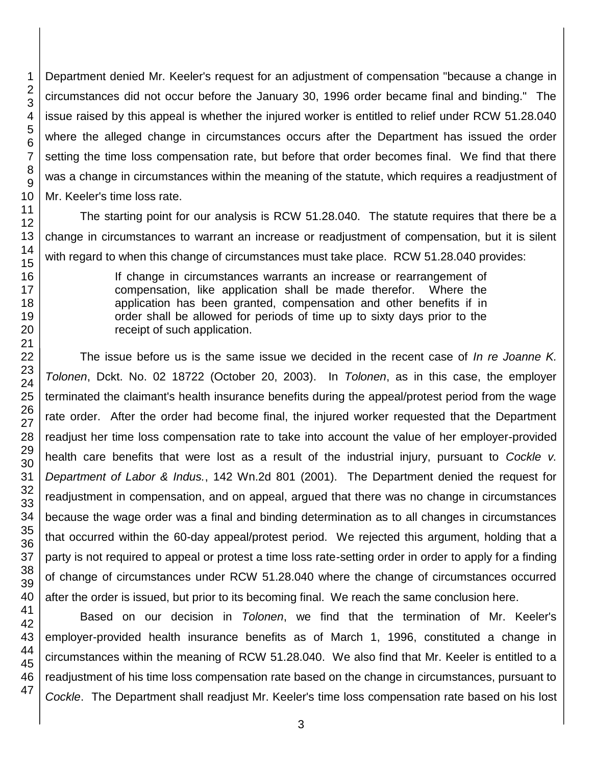Department denied Mr. Keeler's request for an adjustment of compensation "because a change in circumstances did not occur before the January 30, 1996 order became final and binding." The issue raised by this appeal is whether the injured worker is entitled to relief under RCW 51.28.040 where the alleged change in circumstances occurs after the Department has issued the order setting the time loss compensation rate, but before that order becomes final. We find that there was a change in circumstances within the meaning of the statute, which requires a readjustment of Mr. Keeler's time loss rate.

The starting point for our analysis is RCW 51.28.040. The statute requires that there be a change in circumstances to warrant an increase or readjustment of compensation, but it is silent with regard to when this change of circumstances must take place. RCW 51.28.040 provides:

> If change in circumstances warrants an increase or rearrangement of compensation, like application shall be made therefor. Where the application has been granted, compensation and other benefits if in order shall be allowed for periods of time up to sixty days prior to the receipt of such application.

The issue before us is the same issue we decided in the recent case of *In re Joanne K. Tolonen*, Dckt. No. 02 18722 (October 20, 2003). In *Tolonen*, as in this case, the employer terminated the claimant's health insurance benefits during the appeal/protest period from the wage rate order. After the order had become final, the injured worker requested that the Department readjust her time loss compensation rate to take into account the value of her employer-provided health care benefits that were lost as a result of the industrial injury, pursuant to *Cockle v. Department of Labor & Indus.*, 142 Wn.2d 801 (2001). The Department denied the request for readjustment in compensation, and on appeal, argued that there was no change in circumstances because the wage order was a final and binding determination as to all changes in circumstances that occurred within the 60-day appeal/protest period. We rejected this argument, holding that a party is not required to appeal or protest a time loss rate-setting order in order to apply for a finding of change of circumstances under RCW 51.28.040 where the change of circumstances occurred after the order is issued, but prior to its becoming final. We reach the same conclusion here.

Based on our decision in *Tolonen*, we find that the termination of Mr. Keeler's employer-provided health insurance benefits as of March 1, 1996, constituted a change in circumstances within the meaning of RCW 51.28.040. We also find that Mr. Keeler is entitled to a readjustment of his time loss compensation rate based on the change in circumstances, pursuant to *Cockle*. The Department shall readjust Mr. Keeler's time loss compensation rate based on his lost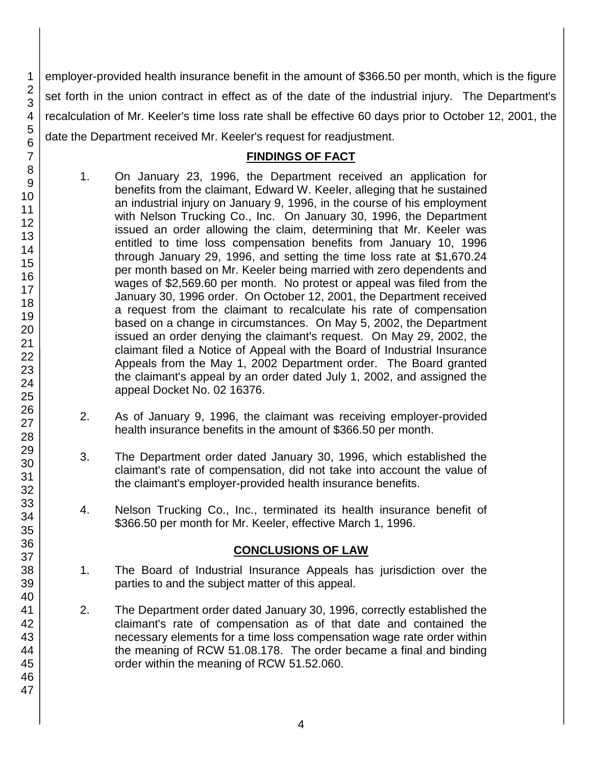employer-provided health insurance benefit in the amount of \$366.50 per month, which is the figure set forth in the union contract in effect as of the date of the industrial injury. The Department's recalculation of Mr. Keeler's time loss rate shall be effective 60 days prior to October 12, 2001, the date the Department received Mr. Keeler's request for readjustment.

## **FINDINGS OF FACT**

- 1. On January 23, 1996, the Department received an application for benefits from the claimant, Edward W. Keeler, alleging that he sustained an industrial injury on January 9, 1996, in the course of his employment with Nelson Trucking Co., Inc. On January 30, 1996, the Department issued an order allowing the claim, determining that Mr. Keeler was entitled to time loss compensation benefits from January 10, 1996 through January 29, 1996, and setting the time loss rate at \$1,670.24 per month based on Mr. Keeler being married with zero dependents and wages of \$2,569.60 per month. No protest or appeal was filed from the January 30, 1996 order. On October 12, 2001, the Department received a request from the claimant to recalculate his rate of compensation based on a change in circumstances. On May 5, 2002, the Department issued an order denying the claimant's request. On May 29, 2002, the claimant filed a Notice of Appeal with the Board of Industrial Insurance Appeals from the May 1, 2002 Department order. The Board granted the claimant's appeal by an order dated July 1, 2002, and assigned the appeal Docket No. 02 16376.
- 2. As of January 9, 1996, the claimant was receiving employer-provided health insurance benefits in the amount of \$366.50 per month.
- 3. The Department order dated January 30, 1996, which established the claimant's rate of compensation, did not take into account the value of the claimant's employer-provided health insurance benefits.
- 4. Nelson Trucking Co., Inc., terminated its health insurance benefit of \$366.50 per month for Mr. Keeler, effective March 1, 1996.

# **CONCLUSIONS OF LAW**

- 1. The Board of Industrial Insurance Appeals has jurisdiction over the parties to and the subject matter of this appeal.
- 2. The Department order dated January 30, 1996, correctly established the claimant's rate of compensation as of that date and contained the necessary elements for a time loss compensation wage rate order within the meaning of RCW 51.08.178. The order became a final and binding order within the meaning of RCW 51.52.060.